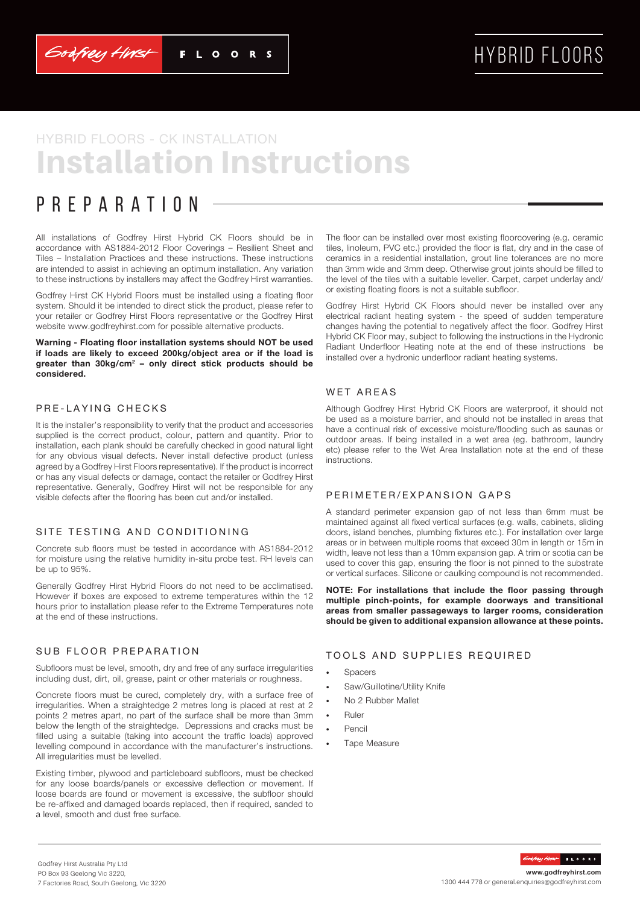Godfrey Hirst

# HYBRID FLOORS

# Installation Instructions HYBRID FLOORS - CK INSTALLATION

## Preparation

All installations of Godfrey Hirst Hybrid CK Floors should be in accordance with AS1884-2012 Floor Coverings – Resilient Sheet and Tiles – Installation Practices and these instructions. These instructions are intended to assist in achieving an optimum installation. Any variation to these instructions by installers may affect the Godfrey Hirst warranties.

Godfrey Hirst CK Hybrid Floors must be installed using a floating floor system. Should it be intended to direct stick the product, please refer to your retailer or Godfrey Hirst Floors representative or the Godfrey Hirst website www.godfreyhirst.com for possible alternative products.

**Warning - Floating floor installation systems should NOT be used if loads are likely to exceed 200kg/object area or if the load is greater than 30kg/cm2 – only direct stick products should be considered.**

## PRE-LAYING CHECKS

It is the installer's responsibility to verify that the product and accessories supplied is the correct product, colour, pattern and quantity. Prior to installation, each plank should be carefully checked in good natural light for any obvious visual defects. Never install defective product (unless agreed by a Godfrey Hirst Floors representative). If the product is incorrect or has any visual defects or damage, contact the retailer or Godfrey Hirst representative. Generally, Godfrey Hirst will not be responsible for any visible defects after the flooring has been cut and/or installed.

### SITE TESTING AND CONDITIONING

Concrete sub floors must be tested in accordance with AS1884-2012 for moisture using the relative humidity in-situ probe test. RH levels can be up to 95%.

Generally Godfrey Hirst Hybrid Floors do not need to be acclimatised. However if boxes are exposed to extreme temperatures within the 12 hours prior to installation please refer to the Extreme Temperatures note at the end of these instructions.

## SUB FLOOR PREPARATION

Subfloors must be level, smooth, dry and free of any surface irregularities including dust, dirt, oil, grease, paint or other materials or roughness.

Concrete floors must be cured, completely dry, with a surface free of irregularities. When a straightedge 2 metres long is placed at rest at 2 points 2 metres apart, no part of the surface shall be more than 3mm below the length of the straightedge. Depressions and cracks must be filled using a suitable (taking into account the traffic loads) approved levelling compound in accordance with the manufacturer's instructions. All irregularities must be levelled.

Existing timber, plywood and particleboard subfloors, must be checked for any loose boards/panels or excessive deflection or movement. If loose boards are found or movement is excessive, the subfloor should be re-affixed and damaged boards replaced, then if required, sanded to a level, smooth and dust free surface.

The floor can be installed over most existing floorcovering (e.g. ceramic tiles, linoleum, PVC etc.) provided the floor is flat, dry and in the case of ceramics in a residential installation, grout line tolerances are no more than 3mm wide and 3mm deep. Otherwise grout joints should be filled to the level of the tiles with a suitable leveller. Carpet, carpet underlay and/ or existing floating floors is not a suitable subfloor.

Godfrey Hirst Hybrid CK Floors should never be installed over any electrical radiant heating system - the speed of sudden temperature changes having the potential to negatively affect the floor. Godfrey Hirst Hybrid CK Floor may, subject to following the instructions in the Hydronic Radiant Underfloor Heating note at the end of these instructions be installed over a hydronic underfloor radiant heating systems.

## WET AREAS

Although Godfrey Hirst Hybrid CK Floors are waterproof, it should not be used as a moisture barrier, and should not be installed in areas that have a continual risk of excessive moisture/flooding such as saunas or outdoor areas. If being installed in a wet area (eg. bathroom, laundry etc) please refer to the Wet Area Installation note at the end of these instructions.

### PERIMETER/EXPANSION GAPS

A standard perimeter expansion gap of not less than 6mm must be maintained against all fixed vertical surfaces (e.g. walls, cabinets, sliding doors, island benches, plumbing fixtures etc.). For installation over large areas or in between multiple rooms that exceed 30m in length or 15m in width, leave not less than a 10mm expansion gap. A trim or scotia can be used to cover this gap, ensuring the floor is not pinned to the substrate or vertical surfaces. Silicone or caulking compound is not recommended.

**NOTE: For installations that include the floor passing through multiple pinch-points, for example doorways and transitional areas from smaller passageways to larger rooms, consideration should be given to additional expansion allowance at these points.** 

## TOOLS AND SUPPLIES REQUIRED

- **Spacers**
- Saw/Guillotine/Utility Knife
- No 2 Rubber Mallet
- Ruler
- Pencil
- Tape Measure

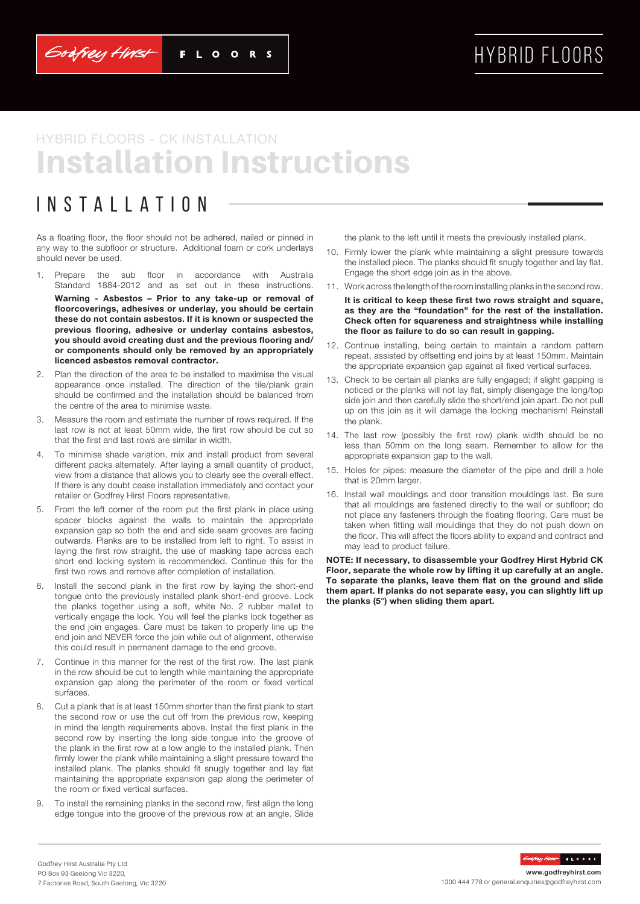Godfrey Hirst

# HYBRID FLOORS

# Installation Instructions HYBRID FLOORS - CK INSTALLATION

## Installation

As a floating floor, the floor should not be adhered, nailed or pinned in any way to the subfloor or structure. Additional foam or cork underlays should never be used.

1. Prepare the sub floor in accordance with Australia Standard 1884-2012 and as set out in these instructions.

**Warning - Asbestos – Prior to any take-up or removal of floorcoverings, adhesives or underlay, you should be certain these do not contain asbestos. If it is known or suspected the previous flooring, adhesive or underlay contains asbestos, you should avoid creating dust and the previous flooring and/ or components should only be removed by an appropriately licenced asbestos removal contractor.**

- 2. Plan the direction of the area to be installed to maximise the visual appearance once installed. The direction of the tile/plank grain should be confirmed and the installation should be balanced from the centre of the area to minimise waste.
- 3. Measure the room and estimate the number of rows required. If the last row is not at least 50mm wide, the first row should be cut so that the first and last rows are similar in width.
- 4. To minimise shade variation, mix and install product from several different packs alternately. After laying a small quantity of product, view from a distance that allows you to clearly see the overall effect. If there is any doubt cease installation immediately and contact your retailer or Godfrey Hirst Floors representative.
- 5. From the left corner of the room put the first plank in place using spacer blocks against the walls to maintain the appropriate expansion gap so both the end and side seam grooves are facing outwards. Planks are to be installed from left to right. To assist in laying the first row straight, the use of masking tape across each short end locking system is recommended. Continue this for the first two rows and remove after completion of installation.
- 6. Install the second plank in the first row by laying the short-end tongue onto the previously installed plank short-end groove. Lock the planks together using a soft, white No. 2 rubber mallet to vertically engage the lock. You will feel the planks lock together as the end join engages. Care must be taken to properly line up the end join and NEVER force the join while out of alignment, otherwise this could result in permanent damage to the end groove.
- Continue in this manner for the rest of the first row. The last plank in the row should be cut to length while maintaining the appropriate expansion gap along the perimeter of the room or fixed vertical surfaces.
- 8. Cut a plank that is at least 150mm shorter than the first plank to start the second row or use the cut off from the previous row, keeping in mind the length requirements above. Install the first plank in the second row by inserting the long side tongue into the groove of the plank in the first row at a low angle to the installed plank. Then firmly lower the plank while maintaining a slight pressure toward the installed plank. The planks should fit snugly together and lay flat maintaining the appropriate expansion gap along the perimeter of the room or fixed vertical surfaces.
- 9. To install the remaining planks in the second row, first align the long edge tongue into the groove of the previous row at an angle. Slide

the plank to the left until it meets the previously installed plank.

- 10. Firmly lower the plank while maintaining a slight pressure towards the installed piece. The planks should fit snugly together and lay flat. Engage the short edge join as in the above.
- 11. Work across the length of the room installing planks in the second row.
	- **It is critical to keep these first two rows straight and square, as they are the "foundation" for the rest of the installation. Check often for squareness and straightness while installing the floor as failure to do so can result in gapping.**
- 12. Continue installing, being certain to maintain a random pattern repeat, assisted by offsetting end joins by at least 150mm. Maintain the appropriate expansion gap against all fixed vertical surfaces.
- 13. Check to be certain all planks are fully engaged; if slight gapping is noticed or the planks will not lay flat, simply disengage the long/top side join and then carefully slide the short/end join apart. Do not pull up on this join as it will damage the locking mechanism! Reinstall the plank.
- 14. The last row (possibly the first row) plank width should be no less than 50mm on the long seam. Remember to allow for the appropriate expansion gap to the wall.
- 15. Holes for pipes: measure the diameter of the pipe and drill a hole that is 20mm larger.
- 16. Install wall mouldings and door transition mouldings last. Be sure that all mouldings are fastened directly to the wall or subfloor; do not place any fasteners through the floating flooring. Care must be taken when fitting wall mouldings that they do not push down on the floor. This will affect the floors ability to expand and contract and may lead to product failure.

**NOTE: If necessary, to disassemble your Godfrey Hirst Hybrid CK Floor, separate the whole row by lifting it up carefully at an angle. To separate the planks, leave them flat on the ground and slide them apart. If planks do not separate easy, you can slightly lift up the planks (5°) when sliding them apart.**